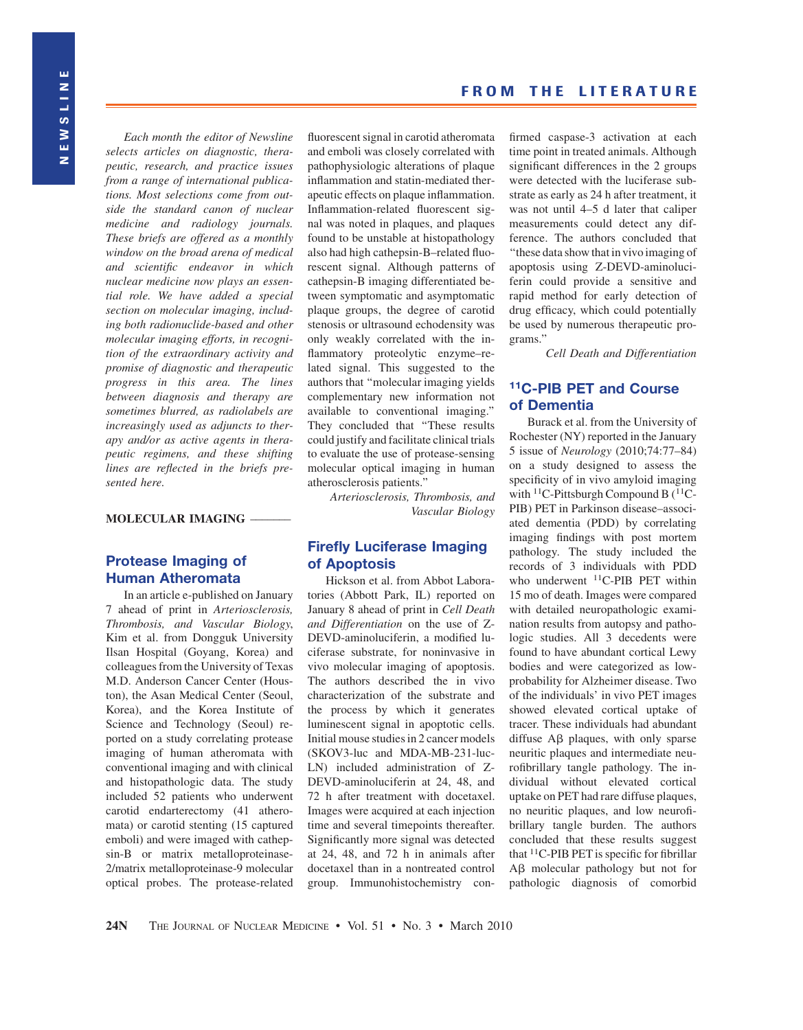Each month the editor of Newsline selects articles on diagnostic, therapeutic, research, and practice issues from a range of international publications. Most selections come from outside the standard canon of nuclear medicine and radiology journals. These briefs are offered as a monthly window on the broad arena of medical and scientific endeavor in which nuclear medicine now plays an essential role. We have added a special section on molecular imaging, including both radionuclide-based and other molecular imaging efforts, in recognition of the extraordinary activity and promise of diagnostic and therapeutic progress in this area. The lines between diagnosis and therapy are sometimes blurred, as radiolabels are increasingly used as adjuncts to therapy and/or as active agents in therapeutic regimens, and these shifting lines are reflected in the briefs presented here.

#### MOLECULAR IMAGING –

#### Protease Imaging of Human Atheromata

In an article e-published on January 7 ahead of print in Arteriosclerosis, Thrombosis, and Vascular Biology, Kim et al. from Dongguk University Ilsan Hospital (Goyang, Korea) and colleagues from the University of Texas M.D. Anderson Cancer Center (Houston), the Asan Medical Center (Seoul, Korea), and the Korea Institute of Science and Technology (Seoul) reported on a study correlating protease imaging of human atheromata with conventional imaging and with clinical and histopathologic data. The study included 52 patients who underwent carotid endarterectomy (41 atheromata) or carotid stenting (15 captured emboli) and were imaged with cathepsin-B or matrix metalloproteinase-2/matrix metalloproteinase-9 molecular optical probes. The protease-related

fluorescent signal in carotid atheromata and emboli was closely correlated with pathophysiologic alterations of plaque inflammation and statin-mediated therapeutic effects on plaque inflammation. Inflammation-related fluorescent signal was noted in plaques, and plaques found to be unstable at histopathology also had high cathepsin-B–related fluorescent signal. Although patterns of cathepsin-B imaging differentiated between symptomatic and asymptomatic plaque groups, the degree of carotid stenosis or ultrasound echodensity was only weakly correlated with the inflammatory proteolytic enzyme–related signal. This suggested to the authors that ''molecular imaging yields complementary new information not available to conventional imaging.'' They concluded that ''These results could justify and facilitate clinical trials to evaluate the use of protease-sensing molecular optical imaging in human atherosclerosis patients.''

Arteriosclerosis, Thrombosis, and Vascular Biology

### Firefly Luciferase Imaging of Apoptosis

Hickson et al. from Abbot Laboratories (Abbott Park, IL) reported on January 8 ahead of print in Cell Death and Differentiation on the use of Z-DEVD-aminoluciferin, a modified luciferase substrate, for noninvasive in vivo molecular imaging of apoptosis. The authors described the in vivo characterization of the substrate and the process by which it generates luminescent signal in apoptotic cells. Initial mouse studies in 2 cancer models (SKOV3-luc and MDA-MB-231-luc-LN) included administration of Z-DEVD-aminoluciferin at 24, 48, and 72 h after treatment with docetaxel. Images were acquired at each injection time and several timepoints thereafter. Significantly more signal was detected at 24, 48, and 72 h in animals after docetaxel than in a nontreated control group. Immunohistochemistry confirmed caspase-3 activation at each time point in treated animals. Although significant differences in the 2 groups were detected with the luciferase substrate as early as 24 h after treatment, it was not until 4–5 d later that caliper measurements could detect any difference. The authors concluded that ''these data show that invivo imaging of apoptosis using Z-DEVD-aminoluciferin could provide a sensitive and rapid method for early detection of drug efficacy, which could potentially be used by numerous therapeutic programs.''

Cell Death and Differentiation

## 11C-PIB PET and Course of Dementia

Burack et al. from the University of Rochester (NY) reported in the January 5 issue of Neurology (2010;74:77–84) on a study designed to assess the specificity of in vivo amyloid imaging with  $^{11}$ C-Pittsburgh Compound B ( $^{11}$ C-PIB) PET in Parkinson disease–associated dementia (PDD) by correlating imaging findings with post mortem pathology. The study included the records of 3 individuals with PDD who underwent  ${}^{11}$ C-PIB PET within 15 mo of death. Images were compared with detailed neuropathologic examination results from autopsy and pathologic studies. All 3 decedents were found to have abundant cortical Lewy bodies and were categorized as lowprobability for Alzheimer disease. Two of the individuals' in vivo PET images showed elevated cortical uptake of tracer. These individuals had abundant diffuse A<sub>B</sub> plaques, with only sparse neuritic plaques and intermediate neurofibrillary tangle pathology. The individual without elevated cortical uptake on PET had rare diffuse plaques, no neuritic plaques, and low neurofibrillary tangle burden. The authors concluded that these results suggest that 11C-PIB PET is specific for fibrillar  $\overrightarrow{AB}$  molecular pathology but not for pathologic diagnosis of comorbid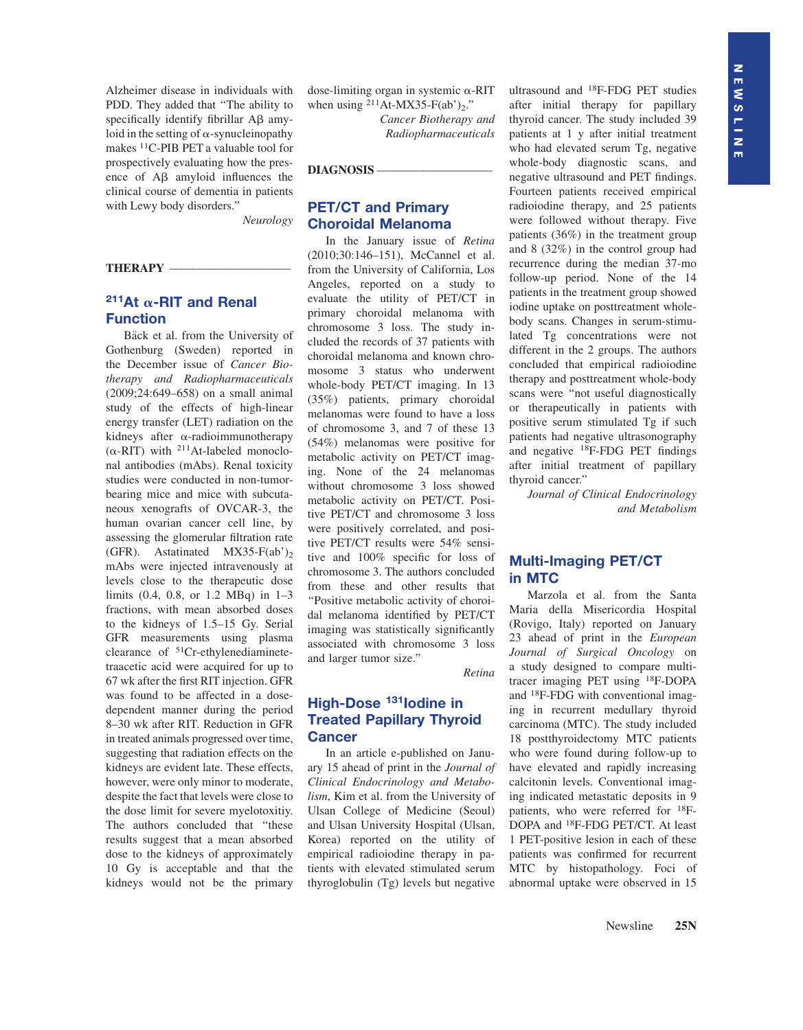Alzheimer disease in individuals with PDD. They added that ''The ability to specifically identify fibrillar  $\overrightarrow{AB}$  amyloid in the setting of  $\alpha$ -synucleinopathy makes 11C-PIB PET a valuable tool for prospectively evaluating how the presence of A<sub>B</sub> amyloid influences the clinical course of dementia in patients with Lewy body disorders.''

Neurology

#### THERAPY –

# 211At  $\alpha$ -RIT and Renal Function

Bäck et al. from the University of Gothenburg (Sweden) reported in the December issue of Cancer Biotherapy and Radiopharmaceuticals (2009;24:649–658) on a small animal study of the effects of high-linear energy transfer (LET) radiation on the kidneys after  $\alpha$ -radioimmunotherapy  $(\alpha$ -RIT) with <sup>211</sup>At-labeled monoclonal antibodies (mAbs). Renal toxicity studies were conducted in non-tumorbearing mice and mice with subcutaneous xenografts of OVCAR-3, the human ovarian cancer cell line, by assessing the glomerular filtration rate (GFR). Astatinated  $MX35-F(ab')_2$ mAbs were injected intravenously at levels close to the therapeutic dose limits (0.4, 0.8, or 1.2 MBq) in 1–3 fractions, with mean absorbed doses to the kidneys of 1.5–15 Gy. Serial GFR measurements using plasma clearance of 51Cr-ethylenediaminetetraacetic acid were acquired for up to 67 wk after the first RIT injection. GFR was found to be affected in a dosedependent manner during the period 8–30 wk after RIT. Reduction in GFR in treated animals progressed over time, suggesting that radiation effects on the kidneys are evident late. These effects, however, were only minor to moderate, despite the fact that levels were close to the dose limit for severe myelotoxitiy. The authors concluded that ''these results suggest that a mean absorbed dose to the kidneys of approximately 10 Gy is acceptable and that the kidneys would not be the primary

dose-limiting organ in systemic  $\alpha$ -RIT when using  $^{211}$ At-MX35-F(ab')<sub>2</sub>."

> Cancer Biotherapy and Radiopharmaceuticals

DIAGNOSIS-

# PET/CT and Primary Choroidal Melanoma

In the January issue of Retina (2010;30:146–151), McCannel et al. from the University of California, Los Angeles, reported on a study to evaluate the utility of PET/CT in primary choroidal melanoma with chromosome 3 loss. The study included the records of 37 patients with choroidal melanoma and known chromosome 3 status who underwent whole-body PET/CT imaging. In 13 (35%) patients, primary choroidal melanomas were found to have a loss of chromosome 3, and 7 of these 13 (54%) melanomas were positive for metabolic activity on PET/CT imaging. None of the 24 melanomas without chromosome 3 loss showed metabolic activity on PET/CT. Positive PET/CT and chromosome 3 loss were positively correlated, and positive PET/CT results were 54% sensitive and 100% specific for loss of chromosome 3. The authors concluded from these and other results that ''Positive metabolic activity of choroidal melanoma identified by PET/CT imaging was statistically significantly associated with chromosome 3 loss and larger tumor size.''

Retina

# High-Dose <sup>131</sup> Iodine in Treated Papillary Thyroid **Cancer**

In an article e-published on January 15 ahead of print in the Journal of Clinical Endocrinology and Metabolism, Kim et al. from the University of Ulsan College of Medicine (Seoul) and Ulsan University Hospital (Ulsan, Korea) reported on the utility of empirical radioiodine therapy in patients with elevated stimulated serum thyroglobulin (Tg) levels but negative

ultrasound and 18F-FDG PET studies after initial therapy for papillary thyroid cancer. The study included 39 patients at 1 y after initial treatment who had elevated serum Tg, negative whole-body diagnostic scans, and negative ultrasound and PET findings. Fourteen patients received empirical radioiodine therapy, and 25 patients were followed without therapy. Five patients (36%) in the treatment group and 8 (32%) in the control group had recurrence during the median 37-mo follow-up period. None of the 14 patients in the treatment group showed iodine uptake on posttreatment wholebody scans. Changes in serum-stimulated Tg concentrations were not different in the 2 groups. The authors concluded that empirical radioiodine therapy and posttreatment whole-body scans were ''not useful diagnostically or therapeutically in patients with positive serum stimulated Tg if such patients had negative ultrasonography and negative 18F-FDG PET findings after initial treatment of papillary thyroid cancer.''

Journal of Clinical Endocrinology and Metabolism

#### Multi-Imaging PET/CT in MTC

Marzola et al. from the Santa Maria della Misericordia Hospital (Rovigo, Italy) reported on January 23 ahead of print in the European Journal of Surgical Oncology on a study designed to compare multitracer imaging PET using 18F-DOPA and 18F-FDG with conventional imaging in recurrent medullary thyroid carcinoma (MTC). The study included 18 postthyroidectomy MTC patients who were found during follow-up to have elevated and rapidly increasing calcitonin levels. Conventional imaging indicated metastatic deposits in 9 patients, who were referred for 18F-DOPA and 18F-FDG PET/CT. At least 1 PET-positive lesion in each of these patients was confirmed for recurrent MTC by histopathology. Foci of abnormal uptake were observed in 15